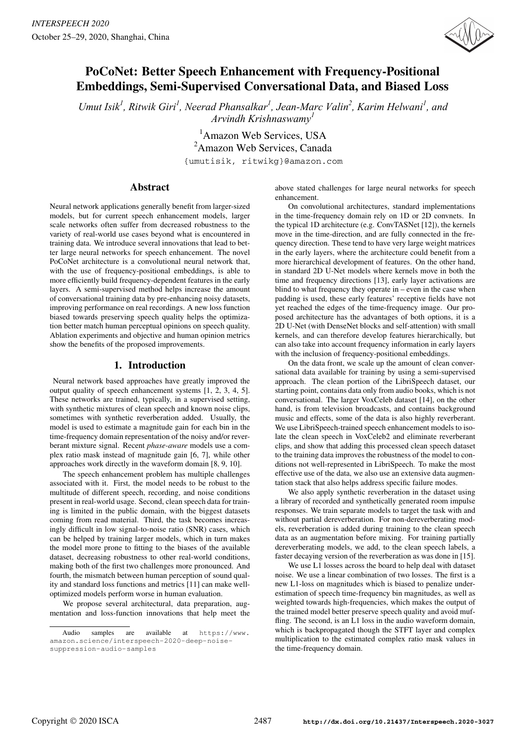

# PoCoNet: Better Speech Enhancement with Frequency-Positional Embeddings, Semi-Supervised Conversational Data, and Biased Loss

Umut Isik<sup>1</sup>, Ritwik Giri<sup>1</sup>, Neerad Phansalkar<sup>1</sup>, Jean-Marc Valin<sup>2</sup>, Karim Helwani<sup>1</sup>, and *Arvindh Krishnaswamy<sup>1</sup>*

> 1 Amazon Web Services, USA 2 Amazon Web Services, Canada {umutisik, ritwikg}@amazon.com

# Abstract

Neural network applications generally benefit from larger-sized models, but for current speech enhancement models, larger scale networks often suffer from decreased robustness to the variety of real-world use cases beyond what is encountered in training data. We introduce several innovations that lead to better large neural networks for speech enhancement. The novel PoCoNet architecture is a convolutional neural network that, with the use of frequency-positional embeddings, is able to more efficiently build frequency-dependent features in the early layers. A semi-supervised method helps increase the amount of conversational training data by pre-enhancing noisy datasets, improving performance on real recordings. A new loss function biased towards preserving speech quality helps the optimization better match human perceptual opinions on speech quality. Ablation experiments and objective and human opinion metrics show the benefits of the proposed improvements.

# 1. Introduction

Neural network based approaches have greatly improved the output quality of speech enhancement systems [1, 2, 3, 4, 5]. These networks are trained, typically, in a supervised setting, with synthetic mixtures of clean speech and known noise clips, sometimes with synthetic reverberation added. Usually, the model is used to estimate a magnitude gain for each bin in the time-frequency domain representation of the noisy and/or reverberant mixture signal. Recent *phase-aware* models use a complex ratio mask instead of magnitude gain [6, 7], while other approaches work directly in the waveform domain [8, 9, 10].

The speech enhancement problem has multiple challenges associated with it. First, the model needs to be robust to the multitude of different speech, recording, and noise conditions present in real-world usage. Second, clean speech data for training is limited in the public domain, with the biggest datasets coming from read material. Third, the task becomes increasingly difficult in low signal-to-noise ratio (SNR) cases, which can be helped by training larger models, which in turn makes the model more prone to fitting to the biases of the available dataset, decreasing robustness to other real-world conditions, making both of the first two challenges more pronounced. And fourth, the mismatch between human perception of sound quality and standard loss functions and metrics [11] can make welloptimized models perform worse in human evaluation.

We propose several architectural, data preparation, augmentation and loss-function innovations that help meet the above stated challenges for large neural networks for speech enhancement.

On convolutional architectures, standard implementations in the time-frequency domain rely on 1D or 2D convnets. In the typical 1D architecture (e.g. ConvTASNet [12]), the kernels move in the time-direction, and are fully connected in the frequency direction. These tend to have very large weight matrices in the early layers, where the architecture could benefit from a more hierarchical development of features. On the other hand, in standard 2D U-Net models where kernels move in both the time and frequency directions [13], early layer activations are blind to what frequency they operate in – even in the case when padding is used, these early features' receptive fields have not yet reached the edges of the time-frequency image. Our proposed architecture has the advantages of both options, it is a 2D U-Net (with DenseNet blocks and self-attention) with small kernels, and can therefore develop features hierarchically, but can also take into account frequency information in early layers with the inclusion of frequency-positional embeddings.

On the data front, we scale up the amount of clean conversational data available for training by using a semi-supervised approach. The clean portion of the LibriSpeech dataset, our starting point, contains data only from audio books, which is not conversational. The larger VoxCeleb dataset [14], on the other hand, is from television broadcasts, and contains background music and effects, some of the data is also highly reverberant. We use LibriSpeech-trained speech enhancement models to isolate the clean speech in VoxCeleb2 and eliminate reverberant clips, and show that adding this processed clean speech dataset to the training data improves the robustness of the model to conditions not well-represented in LibriSpeech. To make the most effective use of the data, we also use an extensive data augmentation stack that also helps address specific failure modes.

We also apply synthetic reverberation in the dataset using a library of recorded and synthetically generated room impulse responses. We train separate models to target the task with and without partial dereverberation. For non-dereverberating models, reverberation is added during training to the clean speech data as an augmentation before mixing. For training partially dereverberating models, we add, to the clean speech labels, a faster decaying version of the reverberation as was done in [15].

We use L1 losses across the board to help deal with dataset noise. We use a linear combination of two losses. The first is a new L1-loss on magnitudes which is biased to penalize underestimation of speech time-frequency bin magnitudes, as well as weighted towards high-frequencies, which makes the output of the trained model better preserve speech quality and avoid muffling. The second, is an L1 loss in the audio waveform domain, which is backpropagated though the STFT layer and complex multiplication to the estimated complex ratio mask values in the time-frequency domain.

Audio samples are available at https://www. amazon.science/interspeech-2020-deep-noisesuppression-audio-samples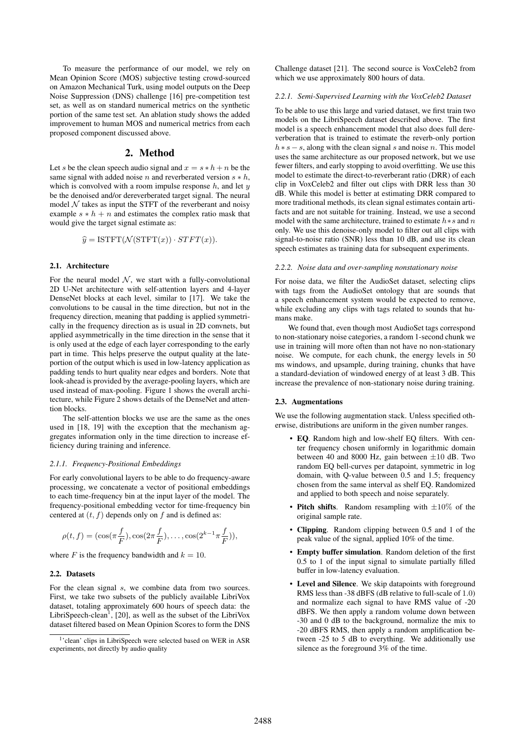To measure the performance of our model, we rely on Mean Opinion Score (MOS) subjective testing crowd-sourced on Amazon Mechanical Turk, using model outputs on the Deep Noise Suppression (DNS) challenge [16] pre-competition test set, as well as on standard numerical metrics on the synthetic portion of the same test set. An ablation study shows the added improvement to human MOS and numerical metrics from each proposed component discussed above.

### 2. Method

Let s be the clean speech audio signal and  $x = s * h + n$  be the same signal with added noise *n* and reverberated version  $s * h$ , which is convolved with a room impulse response  $h$ , and let  $y$ be the denoised and/or dereverberated target signal. The neural model  $N$  takes as input the STFT of the reverberant and noisy example  $s * h + n$  and estimates the complex ratio mask that would give the target signal estimate as:

$$
\widehat{y} = \text{ISTFT}(\mathcal{N}(\text{STFT}(x)) \cdot STFT(x)).
$$

# 2.1. Architecture

For the neural model  $N$ , we start with a fully-convolutional 2D U-Net architecture with self-attention layers and 4-layer DenseNet blocks at each level, similar to [17]. We take the convolutions to be causal in the time direction, but not in the frequency direction, meaning that padding is applied symmetrically in the frequency direction as is usual in 2D convnets, but applied asymmetrically in the time direction in the sense that it is only used at the edge of each layer corresponding to the early part in time. This helps preserve the output quality at the lateportion of the output which is used in low-latency application as padding tends to hurt quality near edges and borders. Note that look-ahead is provided by the average-pooling layers, which are used instead of max-pooling. Figure 1 shows the overall architecture, while Figure 2 shows details of the DenseNet and attention blocks.

The self-attention blocks we use are the same as the ones used in [18, 19] with the exception that the mechanism aggregates information only in the time direction to increase efficiency during training and inference.

#### *2.1.1. Frequency-Positional Embeddings*

For early convolutional layers to be able to do frequency-aware processing, we concatenate a vector of positional embeddings to each time-frequency bin at the input layer of the model. The frequency-positional embedding vector for time-frequency bin centered at  $(t, f)$  depends only on f and is defined as:

$$
\rho(t, f) = (\cos(\pi \frac{f}{F}), \cos(2\pi \frac{f}{F}), \dots, \cos(2^{k-1}\pi \frac{f}{F})),
$$

where F is the frequency bandwidth and  $k = 10$ .

### 2.2. Datasets

For the clean signal s, we combine data from two sources. First, we take two subsets of the publicly available LibriVox dataset, totaling approximately 600 hours of speech data: the LibriSpeech-clean<sup>1</sup>, [20], as well as the subset of the LibriVox dataset filtered based on Mean Opinion Scores to form the DNS

Challenge dataset [21]. The second source is VoxCeleb2 from which we use approximately 800 hours of data.

#### *2.2.1. Semi-Supervised Learning with the VoxCeleb2 Dataset*

To be able to use this large and varied dataset, we first train two models on the LibriSpeech dataset described above. The first model is a speech enhancement model that also does full dereverberation that is trained to estimate the reverb-only portion  $h * s - s$ , along with the clean signal s and noise n. This model uses the same architecture as our proposed network, but we use fewer filters, and early stopping to avoid overfitting. We use this model to estimate the direct-to-reverberant ratio (DRR) of each clip in VoxCeleb2 and filter out clips with DRR less than 30 dB. While this model is better at estimating DRR compared to more traditional methods, its clean signal estimates contain artifacts and are not suitable for training. Instead, we use a second model with the same architecture, trained to estimate  $h * s$  and n only. We use this denoise-only model to filter out all clips with signal-to-noise ratio (SNR) less than 10 dB, and use its clean speech estimates as training data for subsequent experiments.

#### *2.2.2. Noise data and over-sampling nonstationary noise*

For noise data, we filter the AudioSet dataset, selecting clips with tags from the AudioSet ontology that are sounds that a speech enhancement system would be expected to remove, while excluding any clips with tags related to sounds that humans make.

We found that, even though most AudioSet tags correspond to non-stationary noise categories, a random 1-second chunk we use in training will more often than not have no non-stationary noise. We compute, for each chunk, the energy levels in 50 ms windows, and upsample, during training, chunks that have a standard-deviation of windowed energy of at least 3 dB. This increase the prevalence of non-stationary noise during training.

### 2.3. Augmentations

We use the following augmentation stack. Unless specified otherwise, distributions are uniform in the given number ranges.

- EQ. Random high and low-shelf EQ filters. With center frequency chosen uniformly in logarithmic domain between 40 and 8000 Hz, gain between  $\pm 10$  dB. Two random EQ bell-curves per datapoint, symmetric in log domain, with Q-value between 0.5 and 1.5; frequency chosen from the same interval as shelf EQ. Randomized and applied to both speech and noise separately.
- Pitch shifts. Random resampling with  $\pm 10\%$  of the original sample rate.
- Clipping. Random clipping between 0.5 and 1 of the peak value of the signal, applied 10% of the time.
- Empty buffer simulation. Random deletion of the first 0.5 to 1 of the input signal to simulate partially filled buffer in low-latency evaluation.
- Level and Silence. We skip datapoints with foreground RMS less than -38 dBFS (dB relative to full-scale of 1.0) and normalize each signal to have RMS value of -20 dBFS. We then apply a random volume down between -30 and 0 dB to the background, normalize the mix to -20 dBFS RMS, then apply a random amplification between -25 to 5 dB to everything. We additionally use silence as the foreground 3% of the time.

<sup>1&#</sup>x27;clean' clips in LibriSpeech were selected based on WER in ASR experiments, not directly by audio quality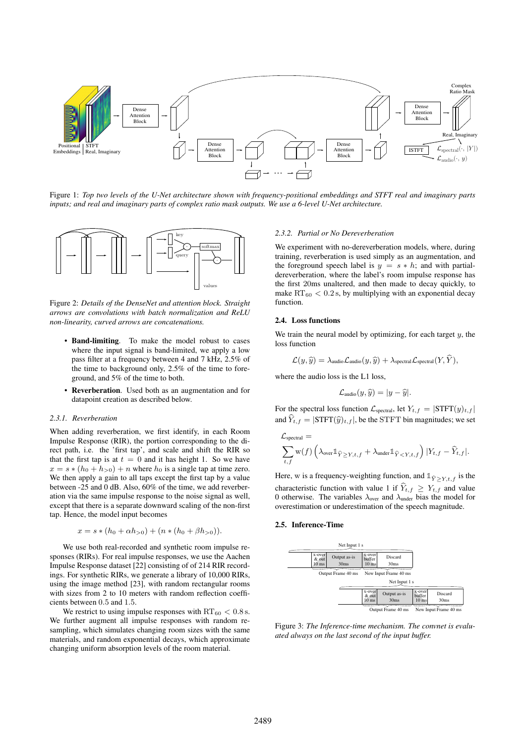

Figure 1: *Top two levels of the U-Net architecture shown with frequency-positional embeddings and STFT real and imaginary parts inputs; and real and imaginary parts of complex ratio mask outputs. We use a 6-level U-Net architecture.*



Figure 2: *Details of the DenseNet and attention block. Straight arrows are convolutions with batch normalization and ReLU non-linearity, curved arrows are concatenations.*

- Band-limiting. To make the model robust to cases where the input signal is band-limited, we apply a low pass filter at a frequency between 4 and 7 kHz, 2.5% of the time to background only, 2.5% of the time to foreground, and 5% of the time to both.
- Reverberation. Used both as an augmentation and for datapoint creation as described below.

#### *2.3.1. Reverberation*

When adding reverberation, we first identify, in each Room Impulse Response (RIR), the portion corresponding to the direct path, i.e. the 'first tap', and scale and shift the RIR so that the first tap is at  $t = 0$  and it has height 1. So we have  $x = s * (h_0 + h_{>0}) + n$  where  $h_0$  is a single tap at time zero. We then apply a gain to all taps except the first tap by a value between -25 and 0 dB. Also, 60% of the time, we add reverberation via the same impulse response to the noise signal as well, except that there is a separate downward scaling of the non-first tap. Hence, the model input becomes

$$
x = s * (h_0 + \alpha h_{>0}) + (n * (h_0 + \beta h_{>0})).
$$

We use both real-recorded and synthetic room impulse responses (RIRs). For real impulse responses, we use the Aachen Impulse Response dataset [22] consisting of of 214 RIR recordings. For synthetic RIRs, we generate a library of 10,000 RIRs, using the image method [23], with random rectangular rooms with sizes from 2 to 10 meters with random reflection coefficients between 0.5 and 1.5.

We restrict to using impulse responses with  $RT_{60} < 0.8$  s. We further augment all impulse responses with random resampling, which simulates changing room sizes with the same materials, and random exponential decays, which approximate changing uniform absorption levels of the room material.

### *2.3.2. Partial or No Dereverberation*

We experiment with no-dereverberation models, where, during training, reverberation is used simply as an augmentation, and the foreground speech label is  $y = s * h$ ; and with partialdereverberation, where the label's room impulse response has the first 20ms unaltered, and then made to decay quickly, to make  $RT_{60}$  < 0.2 s, by multiplying with an exponential decay function.

#### 2.4. Loss functions

We train the neural model by optimizing, for each target  $y$ , the loss function

$$
\mathcal{L}(y,\widehat{y}) = \lambda_{\text{audio}}\mathcal{L}_{\text{audio}}(y,\widehat{y}) + \lambda_{\text{spectral}}\mathcal{L}_{\text{spectral}}(Y,\widehat{Y}),
$$

where the audio loss is the L1 loss,

$$
\mathcal{L}_{\text{audio}}(y,\widehat{y}) = |y - \widehat{y}|.
$$

For the spectral loss function  $\mathcal{L}_{\text{spectral}}$ , let  $Y_{t,f} = |\text{STFT}(y)_{t,f}|$ and  $Y_{t,f} = |\text{STFT}(\hat{y})_{t,f}|$ , be the STFT bin magnitudes; we set

$$
\mathcal{L}_{\text{spectral}} = \sum_{t,f} \mathbf{w}(f) \left( \lambda_{\text{over}} \mathbb{1}_{\widehat{Y} \ge Y, t,f} + \lambda_{\text{under}} \mathbb{1}_{\widehat{Y} < Y, t,f} \right) |Y_{t,f} - \widehat{Y}_{t,f}|.
$$

*t, f*<br>Here, w is a frequency-weighting function, and  $\mathbb{1}_{\hat{Y} \geq Y, t, f}$  is the characteristic function with value 1 if  $Y_{t,f} \geq Y_{t,f}$  and value 0 otherwise. The variables  $\lambda_{\text{over}}$  and  $\lambda_{\text{under}}$  bias the model for overestimation or underestimation of the speech magnitude.

#### 2.5. Inference-Time



Figure 3: *The Inference-time mechanism. The convnet is evaluated always on the last second of the input buffer.*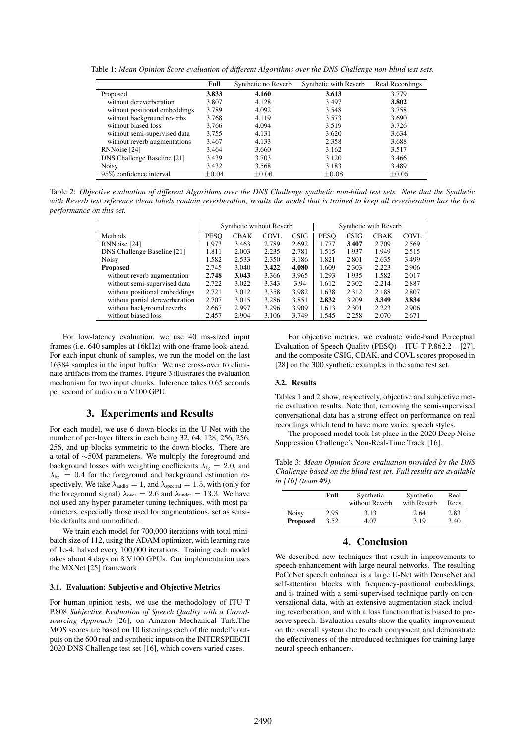Table 1: *Mean Opinion Score evaluation of different Algorithms over the DNS Challenge non-blind test sets.*

|                               | Full       | Synthetic no Reverb | Synthetic with Reverb | Real Recordings |
|-------------------------------|------------|---------------------|-----------------------|-----------------|
| Proposed                      | 3.833      | 4.160               | 3.613                 | 3.779           |
| without dereverberation       | 3.807      | 4.128               | 3.497                 | 3.802           |
| without positional embeddings | 3.789      | 4.092               | 3.548                 | 3.758           |
| without background reverbs    | 3.768      | 4.119               | 3.573                 | 3.690           |
| without biased loss           | 3.766      | 4.094               | 3.519                 | 3.726           |
| without semi-supervised data  | 3.755      | 4.131               | 3.620                 | 3.634           |
| without reverb augmentations  | 3.467      | 4.133               | 2.358                 | 3.688           |
| RNNoise [24]                  | 3.464      | 3.660               | 3.162                 | 3.517           |
| DNS Challenge Baseline [21]   | 3.439      | 3.703               | 3.120                 | 3.466           |
| <b>Noisy</b>                  | 3.432      | 3.568               | 3.183                 | 3.489           |
| 95% confidence interval       | $\pm 0.04$ | $\pm 0.06$          | $\pm 0.08$            | $\pm 0.05$      |

Table 2: *Objective evaluation of different Algorithms over the DNS Challenge synthetic non-blind test sets. Note that the Synthetic with Reverb test reference clean labels contain reverberation, results the model that is trained to keep all reverberation has the best performance on this set.*

|                                 | Synthetic without Reverb |             |       | Synthetic with Reverb |             |             |             |       |
|---------------------------------|--------------------------|-------------|-------|-----------------------|-------------|-------------|-------------|-------|
| Methods                         | <b>PESO</b>              | <b>CBAK</b> | COVL  | <b>CSIG</b>           | <b>PESO</b> | <b>CSIG</b> | <b>CBAK</b> | COVL  |
| RNNoise [24]                    | 1.973                    | 3.463       | 2.789 | 2.692                 | 1.777       | 3.407       | 2.709       | 2.569 |
| DNS Challenge Baseline [21]     | 1.811                    | 2.003       | 2.235 | 2.781                 | 1.515       | 1.937       | 1.949       | 2.515 |
| <b>Noisy</b>                    | 1.582                    | 2.533       | 2.350 | 3.186                 | 1.821       | 2.801       | 2.635       | 3.499 |
| <b>Proposed</b>                 | 2.745                    | 3.040       | 3.422 | 4.080                 | 1.609       | 2.303       | 2.223       | 2.906 |
| without reverb augmentation     | 2.748                    | 3.043       | 3.366 | 3.965                 | 1.293       | 1.935       | 1.582       | 2.017 |
| without semi-supervised data    | 2.722                    | 3.022       | 3.343 | 3.94                  | 1.612       | 2.302       | 2.214       | 2.887 |
| without positional embeddings   | 2.721                    | 3.012       | 3.358 | 3.982                 | 1.638       | 2.312       | 2.188       | 2.807 |
| without partial dereverberation | 2.707                    | 3.015       | 3.286 | 3.851                 | 2.832       | 3.209       | 3.349       | 3.834 |
| without background reverbs      | 2.667                    | 2.997       | 3.296 | 3.909                 | 1.613       | 2.301       | 2.223       | 2.906 |
| without biased loss             | 2.457                    | 2.904       | 3.106 | 3.749                 | 1.545       | 2.258       | 2.070       | 2.671 |

For low-latency evaluation, we use 40 ms-sized input frames (i.e. 640 samples at 16kHz) with one-frame look-ahead. For each input chunk of samples, we run the model on the last 16384 samples in the input buffer. We use cross-over to eliminate artifacts from the frames. Figure 3 illustrates the evaluation mechanism for two input chunks. Inference takes 0.65 seconds per second of audio on a V100 GPU.

### 3. Experiments and Results

For each model, we use 6 down-blocks in the U-Net with the number of per-layer filters in each being 32, 64, 128, 256, 256, 256, and up-blocks symmetric to the down-blocks. There are a total of ∼50M parameters. We multiply the foreground and background losses with weighting coefficients  $\lambda_{fg} = 2.0$ , and  $\lambda_{bg}$  = 0.4 for the foreground and background estimation respectively. We take  $\lambda_{\text{audio}} = 1$ , and  $\lambda_{\text{spectral}} = 1.5$ , with (only for the foreground signal)  $\lambda_{\text{over}} = 2.6$  and  $\lambda_{\text{under}} = 13.3$ . We have not used any hyper-parameter tuning techniques, with most parameters, especially those used for augmentations, set as sensible defaults and unmodified.

We train each model for 700,000 iterations with total minibatch size of 112, using the ADAM optimizer, with learning rate of 1e-4, halved every 100,000 iterations. Training each model takes about 4 days on 8 V100 GPUs. Our implementation uses the MXNet [25] framework.

# 3.1. Evaluation: Subjective and Objective Metrics

For human opinion tests, we use the methodology of ITU-T P.808 *Subjective Evaluation of Speech Quality with a Crowdsourcing Approach* [26], on Amazon Mechanical Turk.The MOS scores are based on 10 listenings each of the model's outputs on the 600 real and synthetic inputs on the INTERSPEECH 2020 DNS Challenge test set [16], which covers varied cases.

For objective metrics, we evaluate wide-band Perceptual Evaluation of Speech Quality (PESQ) – ITU-T P.862.2 – [27], and the composite CSIG, CBAK, and COVL scores proposed in [28] on the 300 synthetic examples in the same test set.

### 3.2. Results

Tables 1 and 2 show, respectively, objective and subjective metric evaluation results. Note that, removing the semi-supervised conversational data has a strong effect on performance on real recordings which tend to have more varied speech styles.

The proposed model took 1st place in the 2020 Deep Noise Suppression Challenge's Non-Real-Time Track [16].

Table 3: *Mean Opinion Score evaluation provided by the DNS Challenge based on the blind test set. Full results are available in [16] (team #9).*

|                 | Full | Synthetic<br>without Reverb | Synthetic<br>with Reverb | Real<br>Recs |
|-----------------|------|-----------------------------|--------------------------|--------------|
| <b>Noisy</b>    | 2.95 | 3.13                        | 2.64                     | 2.83         |
| <b>Proposed</b> | 3.52 | 4.07                        | 3.19                     | 3.40         |

# 4. Conclusion

We described new techniques that result in improvements to speech enhancement with large neural networks. The resulting PoCoNet speech enhancer is a large U-Net with DenseNet and self-attention blocks with frequency-positional embeddings, and is trained with a semi-supervised technique partly on conversational data, with an extensive augmentation stack including reverberation, and with a loss function that is biased to preserve speech. Evaluation results show the quality improvement on the overall system due to each component and demonstrate the effectiveness of the introduced techniques for training large neural speech enhancers.